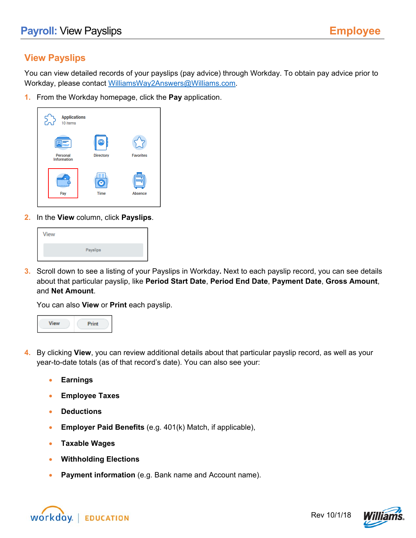## **View Payslips**

You can view detailed records of your payslips (pay advice) through Workday. To obtain pay advice prior to Workday, please contact WilliamsWay2Answers@Williams.com.

**1.** From the Workday homepage, click the **Pay** application.



**2.** In the **View** column, click **Payslips**.

| <b>View</b> |          |  |
|-------------|----------|--|
|             | Payslips |  |

**3.** Scroll down to see a listing of your Payslips in Workday**.** Next to each payslip record, you can see details about that particular payslip, like **Period Start Date**, **Period End Date**, **Payment Date**, **Gross Amount**, and **Net Amount**.

You can also **View** or **Print** each payslip.



- **4.** By clicking **View**, you can review additional details about that particular payslip record, as well as your year-to-date totals (as of that record's date). You can also see your:
	- **Earnings**
	- **Employee Taxes**
	- **Deductions**
	- **Employer Paid Benefits** (e.g. 401(k) Match, if applicable),
	- **Taxable Wages**
	- **Withholding Elections**
	- **Payment information** (e.g. Bank name and Account name).